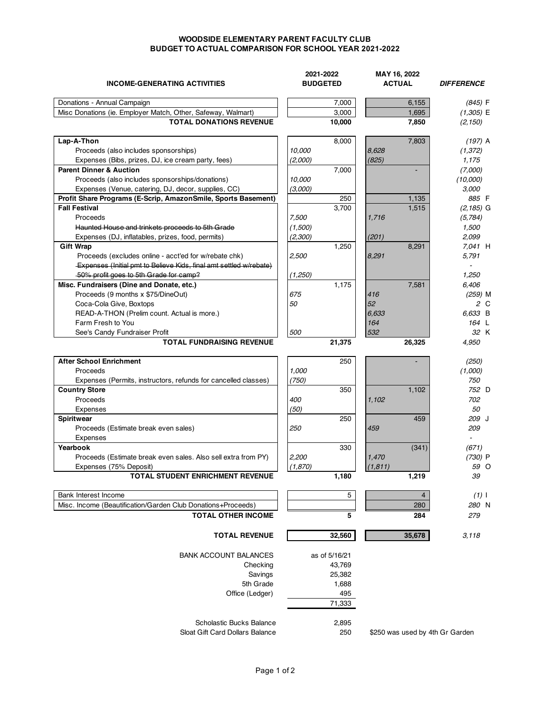## **WOODSIDE ELEMENTARY PARENT FACULTY CLUB BUDGET TO ACTUAL COMPARISON FOR SCHOOL YEAR 2021-2022**

| <b>INCOME-GENERATING ACTIVITIES</b>                                       | 2021-2022<br><b>BUDGETED</b> | MAY 16, 2022<br><b>ACTUAL</b>          | <b>DIFFERENCE</b> |
|---------------------------------------------------------------------------|------------------------------|----------------------------------------|-------------------|
| Donations - Annual Campaign                                               | 7,000                        | 6,155                                  | (845) F           |
| Misc Donations (ie. Employer Match, Other, Safeway, Walmart)              | 3,000                        | 1,695                                  | $(1,305)$ E       |
| <b>TOTAL DONATIONS REVENUE</b>                                            | 10,000                       | 7,850                                  | (2, 150)          |
| Lap-A-Thon                                                                | 8,000                        | 7,803                                  | $(197)$ A         |
| Proceeds (also includes sponsorships)                                     | 10,000                       | 8,628                                  | (1, 372)          |
| Expenses (Bibs, prizes, DJ, ice cream party, fees)                        | (2,000)                      | (825)                                  | 1,175             |
| <b>Parent Dinner &amp; Auction</b>                                        | 7,000                        |                                        | (7,000)           |
| Proceeds (also includes sponsorships/donations)                           | 10,000                       |                                        | (10,000)          |
| Expenses (Venue, catering, DJ, decor, supplies, CC)                       | (3,000)                      |                                        | 3,000             |
| Profit Share Programs (E-Scrip, AmazonSmile, Sports Basement)             |                              | 250<br>1,135                           | 885 F             |
| <b>Fall Festival</b>                                                      | 3,700                        | 1,515                                  | $(2, 185)$ G      |
| Proceeds                                                                  | 7,500                        | 1,716                                  | (5,784)           |
| Haunted House and trinkets proceeds to 5th Grade                          | (1,500)                      |                                        | 1,500             |
| Expenses (DJ, inflatables, prizes, food, permits)                         | (2,300)                      | (201)                                  | 2,099             |
| <b>Gift Wrap</b>                                                          | 1,250                        | 8,291                                  | 7.041 H           |
| Proceeds (excludes online - acct'ed for w/rebate chk)                     | 2,500                        | 8,291                                  | 5,791             |
| <b>Expenses (Initial pmt to Believe Kids, final amt settled w/rebate)</b> |                              |                                        |                   |
| -50% profit goes to 5th Grade for camp?                                   | (1,250)                      |                                        | 1,250             |
| Misc. Fundraisers (Dine and Donate, etc.)                                 | 1,175                        | 7,581                                  | 6,406             |
| Proceeds (9 months x \$75/DineOut)                                        | 675                          | 416                                    | $(259)$ M         |
| Coca-Cola Give, Boxtops                                                   | 50                           | 52                                     | 2 C               |
| READ-A-THON (Prelim count. Actual is more.)                               |                              | 6,633                                  | 6,633 B           |
| Farm Fresh to You                                                         |                              | 164                                    | 164 L             |
| See's Candy Fundraiser Profit                                             | 500                          | 532                                    | 32 K              |
| <b>TOTAL FUNDRAISING REVENUE</b>                                          | 21,375                       | 26,325                                 | 4,950             |
| <b>After School Enrichment</b>                                            |                              | 250                                    | (250)             |
| Proceeds                                                                  | 1,000                        |                                        | (1,000)           |
| Expenses (Permits, instructors, refunds for cancelled classes)            | (750)                        |                                        | 750               |
| <b>Country Store</b>                                                      |                              | 350<br>1,102                           | 752 D             |
| Proceeds                                                                  | 400                          | 1,102                                  | 702               |
| Expenses                                                                  | (50)                         |                                        | 50                |
| Spiritwear                                                                |                              | 250<br>459                             | 209 J             |
| Proceeds (Estimate break even sales)                                      | <i>250</i>                   | 459                                    | 209               |
| Expenses                                                                  |                              |                                        |                   |
| Yearbook                                                                  |                              | 330<br>(341)                           | (671)             |
| Proceeds (Estimate break even sales. Also sell extra from PY)             | 2,200                        | 1,470                                  | (730) P           |
| Expenses (75% Deposit)                                                    | (1, 870)                     | (1, 811)                               | 59 O              |
| TOTAL STUDENT ENRICHMENT REVENUE                                          | 1,180                        | 1,219                                  | 39                |
| Bank Interest Income                                                      |                              | 5<br>$\overline{4}$                    | $(1)$             |
| Misc. Income (Beautification/Garden Club Donations+Proceeds)              |                              | 280                                    | 280 N             |
| <b>TOTAL OTHER INCOME</b>                                                 |                              | 5<br>284                               | 279               |
| <b>TOTAL REVENUE</b>                                                      | 32,560                       | 35,678                                 | 3,118             |
| <b>BANK ACCOUNT BALANCES</b>                                              | as of 5/16/21                |                                        |                   |
| Checking                                                                  | 43,769                       |                                        |                   |
| Savings                                                                   | 25,382                       |                                        |                   |
| 5th Grade                                                                 | 1,688                        |                                        |                   |
| Office (Ledger)                                                           |                              | 495                                    |                   |
|                                                                           | 71,333                       |                                        |                   |
| Scholastic Bucks Balance                                                  | 2,895                        |                                        |                   |
| Sloat Gift Card Dollars Balance                                           |                              | 250<br>\$250 was used by 4th Gr Garden |                   |
|                                                                           |                              |                                        |                   |